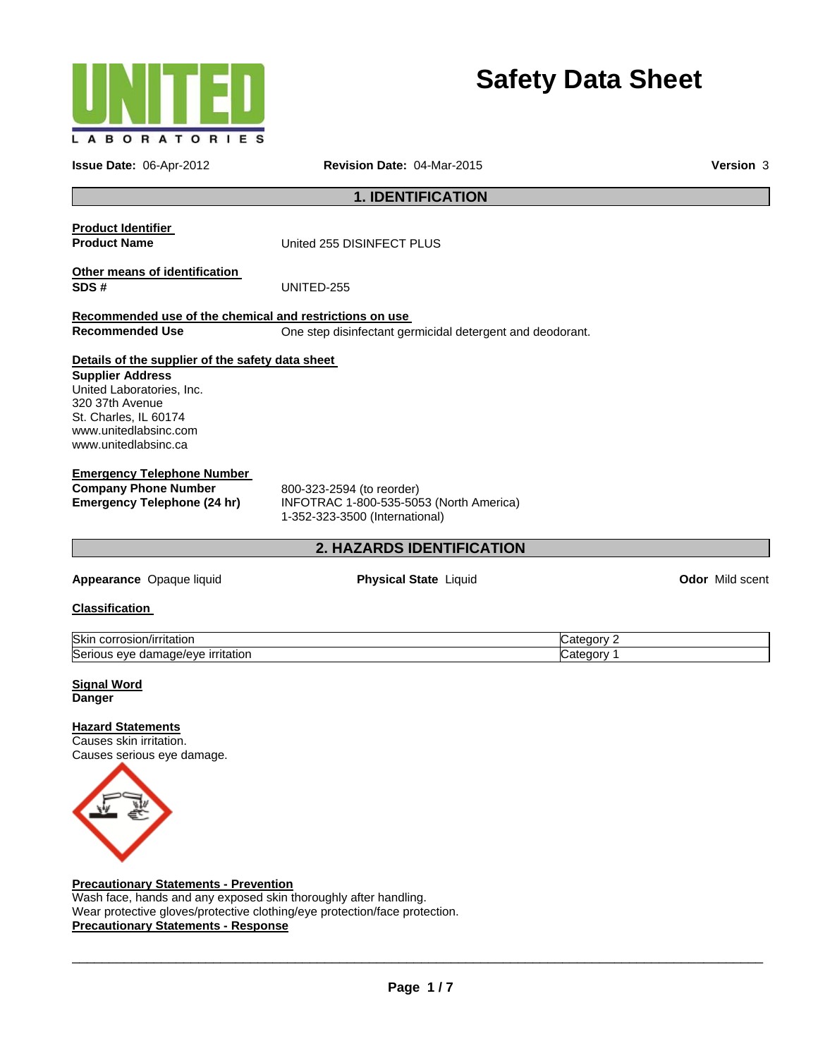

# **Safety Data Sheet**

| Revision Date: 04-Mar-2015<br>Issue Date: 06-Apr-2012                                                                                                                                                 |                                                                                                        | <b>Version 3</b> |
|-------------------------------------------------------------------------------------------------------------------------------------------------------------------------------------------------------|--------------------------------------------------------------------------------------------------------|------------------|
|                                                                                                                                                                                                       | <b>1. IDENTIFICATION</b>                                                                               |                  |
| <b>Product Identifier</b><br><b>Product Name</b>                                                                                                                                                      | United 255 DISINFECT PLUS                                                                              |                  |
| Other means of identification<br>SDS#                                                                                                                                                                 | UNITED-255                                                                                             |                  |
| Recommended use of the chemical and restrictions on use<br><b>Recommended Use</b>                                                                                                                     | One step disinfectant germicidal detergent and deodorant.                                              |                  |
| Details of the supplier of the safety data sheet<br><b>Supplier Address</b><br>United Laboratories, Inc.<br>320 37th Avenue<br>St. Charles, IL 60174<br>www.unitedlabsinc.com<br>www.unitedlabsinc.ca |                                                                                                        |                  |
| <b>Emergency Telephone Number</b><br><b>Company Phone Number</b><br><b>Emergency Telephone (24 hr)</b>                                                                                                | 800-323-2594 (to reorder)<br>INFOTRAC 1-800-535-5053 (North America)<br>1-352-323-3500 (International) |                  |
|                                                                                                                                                                                                       | <b>2. HAZARDS IDENTIFICATION</b>                                                                       |                  |
| Appearance Opaque liquid                                                                                                                                                                              | Physical State Liquid                                                                                  | Odor Mild scent  |
| <b>Classification</b>                                                                                                                                                                                 |                                                                                                        |                  |

Skin corrosion/irritation Category 2 Serious eye damage/eye irritation contract the contract of Category 1

| <b>Signal Word</b> |  |
|--------------------|--|
| Danger             |  |

**Hazard Statements**  Causes skin irritation.



#### **Precautionary Statements - Prevention**

Wash face, hands and any exposed skin thoroughly after handling. Wear protective gloves/protective clothing/eye protection/face protection. **Precautionary Statements - Response**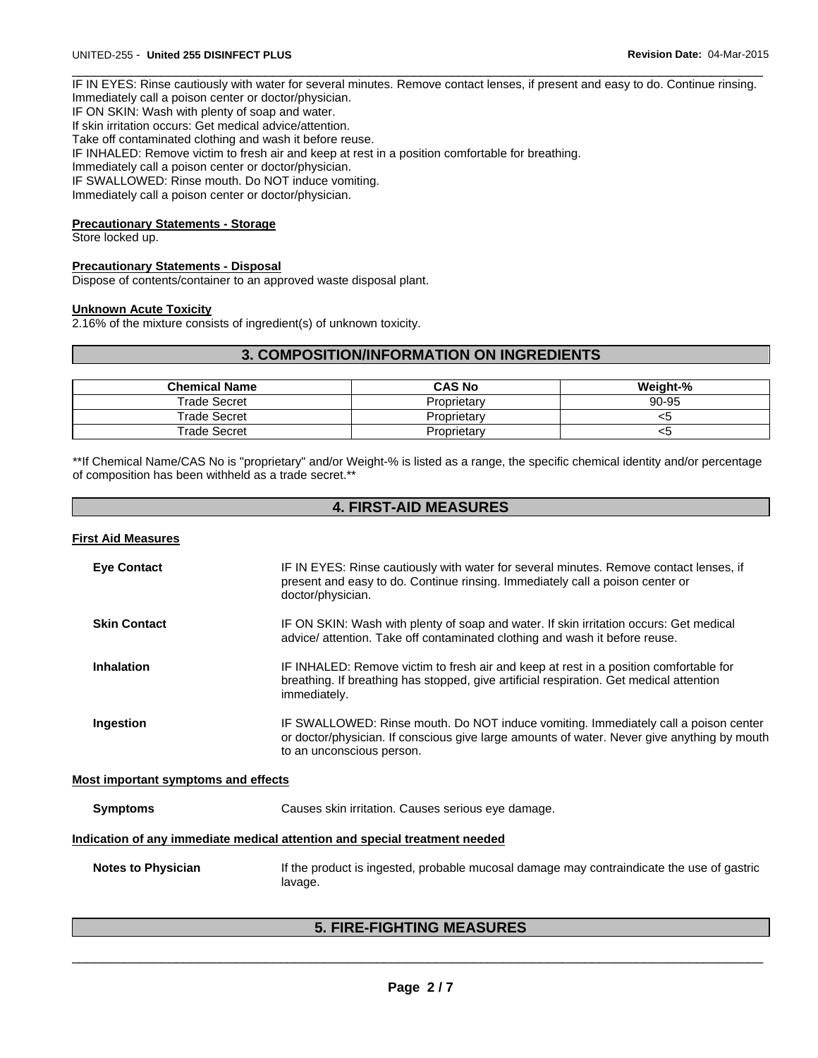IF IN EYES: Rinse cautiously with water for several minutes. Remove contact lenses, if present and easy to do. Continue rinsing. Immediately call a poison center or doctor/physician. IF ON SKIN: Wash with plenty of soap and water. If skin irritation occurs: Get medical advice/attention. Take off contaminated clothing and wash it before reuse. IF INHALED: Remove victim to fresh air and keep at rest in a position comfortable for breathing. Immediately call a poison center or doctor/physician. IF SWALLOWED: Rinse mouth. Do NOT induce vomiting.

 $\Box$ 

Immediately call a poison center or doctor/physician.

#### **Precautionary Statements - Storage**

Store locked up.

#### **Precautionary Statements - Disposal**

Dispose of contents/container to an approved waste disposal plant.

#### **Unknown Acute Toxicity**

2.16% of the mixture consists of ingredient(s) of unknown toxicity.

# **3. COMPOSITION/INFORMATION ON INGREDIENTS**

| <b>Chemical Name</b> | <b>CAS No</b> | Weight-% |
|----------------------|---------------|----------|
| <b>Trade Secret</b>  | Proprietarv   | 90-95    |
| <b>Trade Secret</b>  | Proprietarv   | <ວ       |
| Trade Secret         | Proprietarv   | ∾        |

\*\*If Chemical Name/CAS No is "proprietary" and/or Weight-% is listed as a range, the specific chemical identity and/or percentage of composition has been withheld as a trade secret.\*\*

# **4. FIRST-AID MEASURES**

#### **First Aid Measures**

| <b>Eye Contact</b>                         | IF IN EYES: Rinse cautiously with water for several minutes. Remove contact lenses, if<br>present and easy to do. Continue rinsing. Immediately call a poison center or<br>doctor/physician.                    |
|--------------------------------------------|-----------------------------------------------------------------------------------------------------------------------------------------------------------------------------------------------------------------|
| <b>Skin Contact</b>                        | IF ON SKIN: Wash with plenty of soap and water. If skin irritation occurs: Get medical<br>advice/ attention. Take off contaminated clothing and wash it before reuse.                                           |
| <b>Inhalation</b>                          | IF INHALED: Remove victim to fresh air and keep at rest in a position comfortable for<br>breathing. If breathing has stopped, give artificial respiration. Get medical attention<br>immediately.                |
| Ingestion                                  | IF SWALLOWED: Rinse mouth. Do NOT induce vomiting. Immediately call a poison center<br>or doctor/physician. If conscious give large amounts of water. Never give anything by mouth<br>to an unconscious person. |
| <b>Most important symptoms and effects</b> |                                                                                                                                                                                                                 |
| <b>Symptoms</b>                            | Causes skin irritation. Causes serious eye damage.                                                                                                                                                              |
|                                            | <u>Indication of any immediate medical attention and special treatment needed</u>                                                                                                                               |
| <b>Notes to Physician</b>                  | If the product is ingested, probable mucosal damage may contraindicate the use of gastric                                                                                                                       |

#### **5. FIRE-FIGHTING MEASURES**

lavage.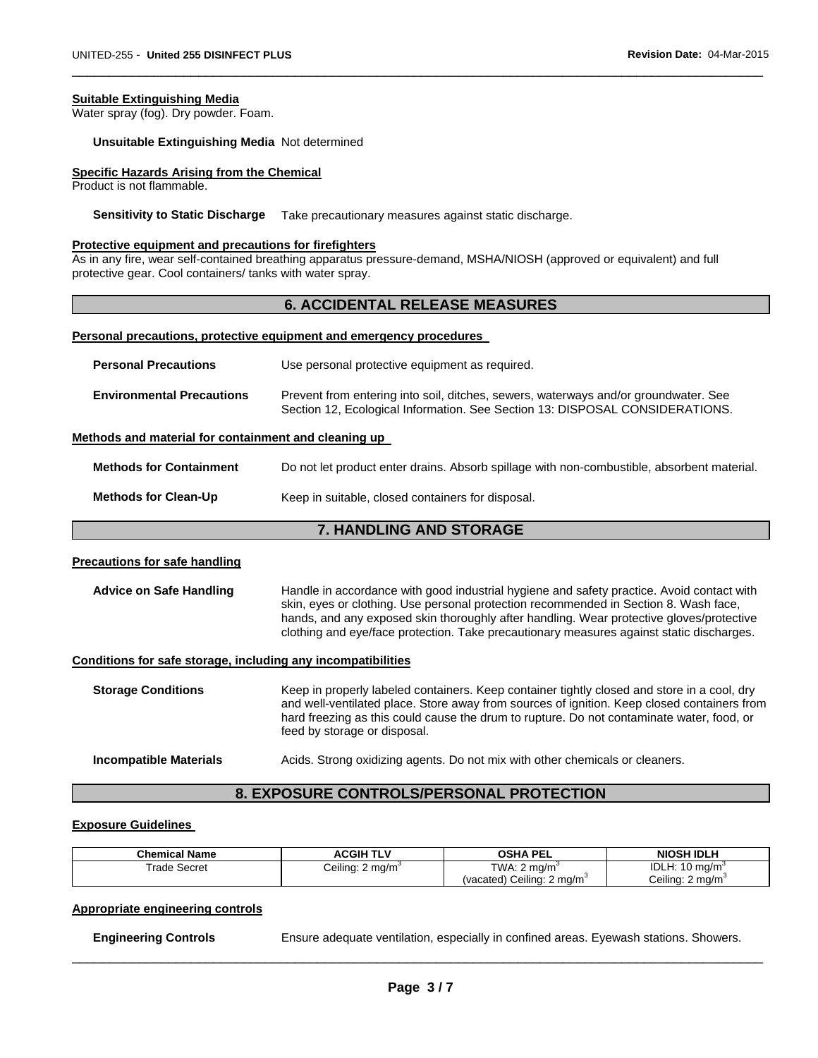#### **Suitable Extinguishing Media**

Water spray (fog). Dry powder. Foam.

**Unsuitable Extinguishing Media** Not determined

#### **Specific Hazards Arising from the Chemical**

Product is not flammable.

**Sensitivity to Static Discharge** Take precautionary measures against static discharge.

#### **Protective equipment and precautions for firefighters**

As in any fire, wear self-contained breathing apparatus pressure-demand, MSHA/NIOSH (approved or equivalent) and full protective gear. Cool containers/ tanks with water spray.

#### **6. ACCIDENTAL RELEASE MEASURES**

 $\Box$ 

#### **Personal precautions, protective equipment and emergency procedures**

| <b>Personal Precautions</b>      | Use personal protective equipment as required.                                                                                                                      |
|----------------------------------|---------------------------------------------------------------------------------------------------------------------------------------------------------------------|
| <b>Environmental Precautions</b> | Prevent from entering into soil, ditches, sewers, waterways and/or groundwater. See<br>Section 12, Ecological Information. See Section 13: DISPOSAL CONSIDERATIONS. |

#### **Methods and material for containment and cleaning up**

| <b>Methods for Containment</b> | Do not let product enter drains. Absorb spillage with non-combustible, absorbent material. |
|--------------------------------|--------------------------------------------------------------------------------------------|
| <b>Methods for Clean-Up</b>    | Keep in suitable, closed containers for disposal.                                          |

# **7. HANDLING AND STORAGE**

#### **Precautions for safe handling**

**Advice on Safe Handling** Handle in accordance with good industrial hygiene and safety practice. Avoid contact with skin, eyes or clothing. Use personal protection recommended in Section 8. Wash face, hands, and any exposed skin thoroughly after handling. Wear protective gloves/protective clothing and eye/face protection. Take precautionary measures against static discharges.

#### **Conditions for safe storage, including any incompatibilities**

**Storage Conditions** Keep in properly labeled containers. Keep container tightly closed and store in a cool, dry and well-ventilated place. Store away from sources of ignition. Keep closed containers from hard freezing as this could cause the drum to rupture. Do not contaminate water, food, or feed by storage or disposal. **Incompatible Materials Acids. Strong oxidizing agents. Do not mix with other chemicals or cleaners.** 

# **8. EXPOSURE CONTROLS/PERSONAL PROTECTION**

#### **Exposure Guidelines**

| <b>Chemical Name</b> | ACGIH TLV                    | <b>OSHA PEL</b>                       | NIOSH IDLH                           |
|----------------------|------------------------------|---------------------------------------|--------------------------------------|
| Frade Secret         | Ceiling: 2 mg/m <sup>3</sup> | TWA: 2 mg/m                           | <b>IDLH: 10</b><br>10 ma/m $\degree$ |
|                      |                              | (vacated) Ceiling: $2 \text{ mg/m}^3$ | Ceiling: 2 mg/m <sup>3</sup>         |

#### **Appropriate engineering controls**

**Engineering Controls Ensure adequate ventilation, especially in confined areas. Eyewash stations. Showers.**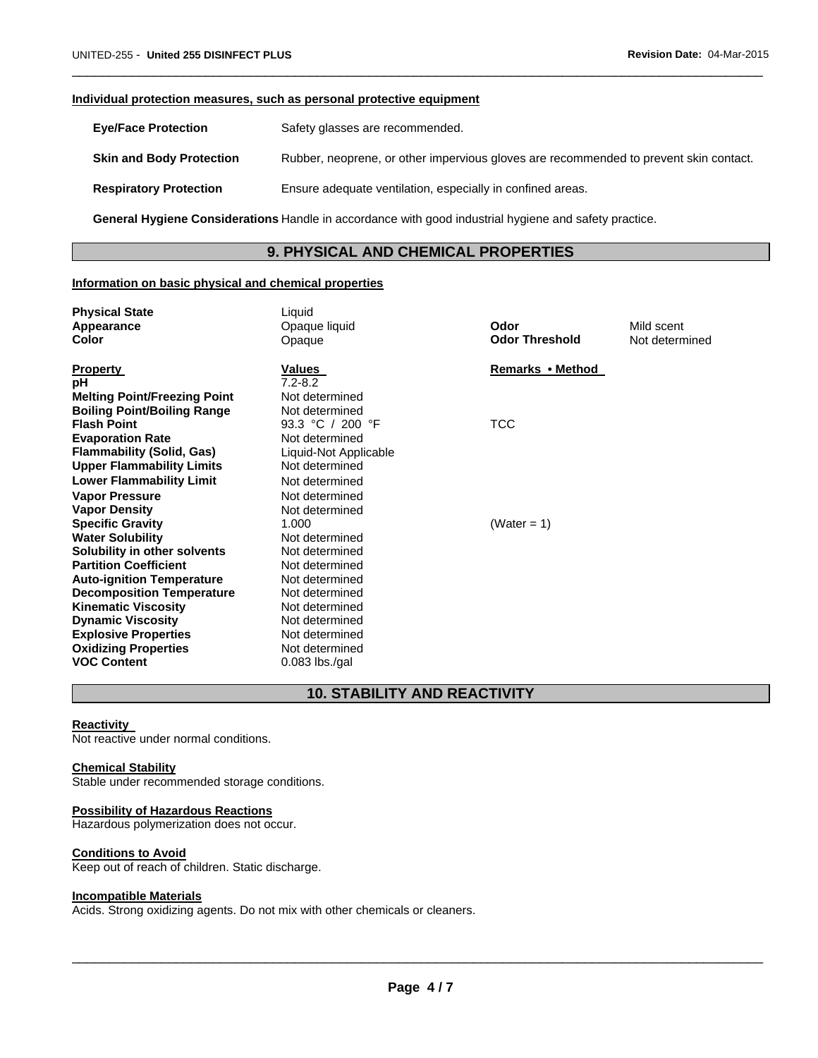#### **Individual protection measures, such as personal protective equipment**

| <b>Eve/Face Protection</b>      | Safety glasses are recommended.                                                       |
|---------------------------------|---------------------------------------------------------------------------------------|
| <b>Skin and Body Protection</b> | Rubber, neoprene, or other impervious gloves are recommended to prevent skin contact. |
| <b>Respiratory Protection</b>   | Ensure adequate ventilation, especially in confined areas.                            |

 $\Box$ 

**General Hygiene Considerations** Handle in accordance with good industrial hygiene and safety practice.

# **9. PHYSICAL AND CHEMICAL PROPERTIES**

# **Information on basic physical and chemical properties**

| <b>Physical State</b>               | Liquid                |                       |                |
|-------------------------------------|-----------------------|-----------------------|----------------|
| Appearance                          | Opaque liquid         | Odor                  | Mild scent     |
| Color                               | Opaque                | <b>Odor Threshold</b> | Not determined |
| <b>Property</b>                     | Values                | Remarks • Method      |                |
| рH                                  | $7.2 - 8.2$           |                       |                |
| <b>Melting Point/Freezing Point</b> | Not determined        |                       |                |
| <b>Boiling Point/Boiling Range</b>  | Not determined        |                       |                |
| <b>Flash Point</b>                  | 93.3 °C / 200 °F      | <b>TCC</b>            |                |
|                                     | Not determined        |                       |                |
| <b>Evaporation Rate</b>             |                       |                       |                |
| <b>Flammability (Solid, Gas)</b>    | Liquid-Not Applicable |                       |                |
| <b>Upper Flammability Limits</b>    | Not determined        |                       |                |
| <b>Lower Flammability Limit</b>     | Not determined        |                       |                |
| <b>Vapor Pressure</b>               | Not determined        |                       |                |
| <b>Vapor Density</b>                | Not determined        |                       |                |
| <b>Specific Gravity</b>             | 1.000                 | (Water = 1)           |                |
| <b>Water Solubility</b>             | Not determined        |                       |                |
| Solubility in other solvents        | Not determined        |                       |                |
| <b>Partition Coefficient</b>        | Not determined        |                       |                |
| <b>Auto-ignition Temperature</b>    | Not determined        |                       |                |
| <b>Decomposition Temperature</b>    | Not determined        |                       |                |
| <b>Kinematic Viscosity</b>          | Not determined        |                       |                |
| <b>Dynamic Viscosity</b>            | Not determined        |                       |                |
| <b>Explosive Properties</b>         | Not determined        |                       |                |
| <b>Oxidizing Properties</b>         | Not determined        |                       |                |
| <b>VOC Content</b>                  | $0.083$ lbs./gal      |                       |                |

# **10. STABILITY AND REACTIVITY**

#### **Reactivity**

Not reactive under normal conditions.

#### **Chemical Stability**

Stable under recommended storage conditions.

#### **Possibility of Hazardous Reactions**

Hazardous polymerization does not occur.

#### **Conditions to Avoid**

Keep out of reach of children. Static discharge.

# **Incompatible Materials**

Acids. Strong oxidizing agents. Do not mix with other chemicals or cleaners.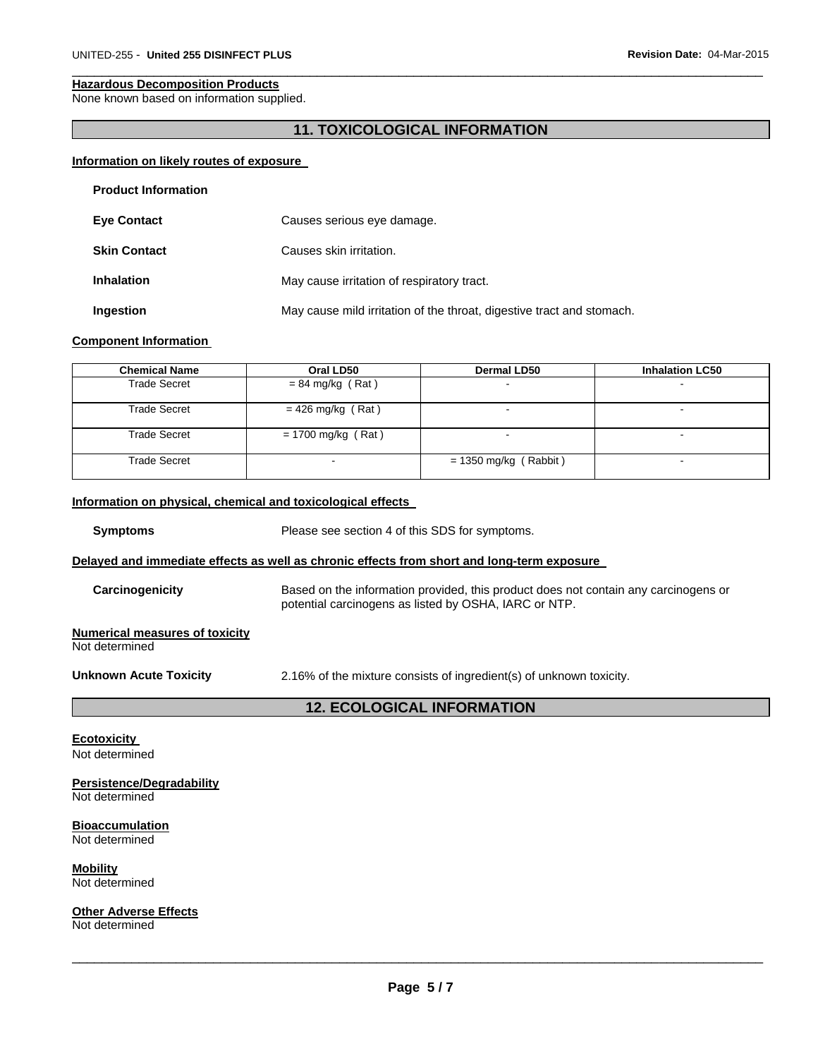#### **Hazardous Decomposition Products**

None known based on information supplied.

# **11. TOXICOLOGICAL INFORMATION**

 $\Box$ 

#### **Information on likely routes of exposure**

| <b>Product Information</b> |                                                                       |
|----------------------------|-----------------------------------------------------------------------|
| <b>Eye Contact</b>         | Causes serious eye damage.                                            |
| <b>Skin Contact</b>        | Causes skin irritation.                                               |
| <b>Inhalation</b>          | May cause irritation of respiratory tract.                            |
| Ingestion                  | May cause mild irritation of the throat, digestive tract and stomach. |

#### **Component Information**

| <b>Chemical Name</b> | Oral LD50            | <b>Dermal LD50</b>       | <b>Inhalation LC50</b> |
|----------------------|----------------------|--------------------------|------------------------|
| Trade Secret         | $= 84$ mg/kg (Rat)   | $\overline{\phantom{a}}$ |                        |
| Trade Secret         | $= 426$ mg/kg (Rat)  | $\overline{\phantom{0}}$ |                        |
| <b>Trade Secret</b>  | $= 1700$ mg/kg (Rat) | $\sim$                   | $\blacksquare$         |
| <b>Trade Secret</b>  |                      | $= 1350$ mg/kg (Rabbit)  | -                      |

#### **Information on physical, chemical and toxicological effects**

**Symptoms** Please see section 4 of this SDS for symptoms.

#### **Delayed and immediate effects as well as chronic effects from short and long-term exposure**

**Carcinogenicity** Based on the information provided, this product does not contain any carcinogens or potential carcinogens as listed by OSHA, IARC or NTP.

#### **Numerical measures of toxicity**  Not determined

**Unknown Acute Toxicity** 2.16% of the mixture consists of ingredient(s) of unknown toxicity.

# **12. ECOLOGICAL INFORMATION**

**Ecotoxicity**  Not determined

**Persistence/Degradability**  Not determined

**Bioaccumulation**  Not determined

**Mobility**  Not determined

**Other Adverse Effects** 

Not determined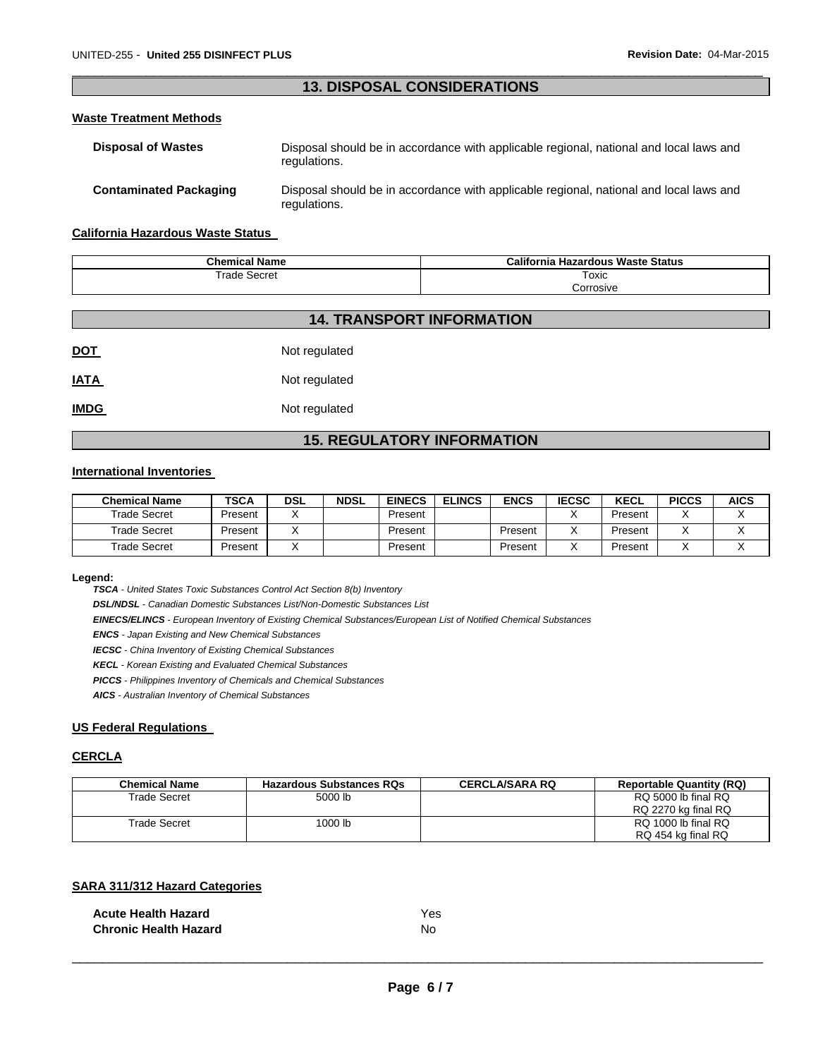# $\Box$ **13. DISPOSAL CONSIDERATIONS**

#### **Waste Treatment Methods**

| <b>Disposal of Wastes</b>     | Disposal should be in accordance with applicable regional, national and local laws and<br>regulations. |
|-------------------------------|--------------------------------------------------------------------------------------------------------|
| <b>Contaminated Packaging</b> | Disposal should be in accordance with applicable regional, national and local laws and<br>regulations. |

#### **California Hazardous Waste Status**

| <b>Chemical Name</b> | California Hazardous Waste Status |
|----------------------|-----------------------------------|
| Secret<br>⊺rade      | Toxic<br>.                        |
|                      | Corrosive                         |

# **14. TRANSPORT INFORMATION**

| <u>DOT</u>  | Not regulated |
|-------------|---------------|
| <u>IATA</u> | Not regulated |

**IMDG** Not regulated

# **15. REGULATORY INFORMATION**

#### **International Inventories**

| <b>Chemical Name</b> | <b>TSCA</b> | <b>DSL</b> | <b>NDSL</b> | <b>EINECS</b> | <b>ELINCS</b> | <b>ENCS</b> | <b>IECSC</b> | <b>KECL</b> | <b>PICCS</b> | <b>AICS</b> |
|----------------------|-------------|------------|-------------|---------------|---------------|-------------|--------------|-------------|--------------|-------------|
| <b>Trade Secret</b>  | Present     |            |             | Present       |               |             |              | Present     | $\lambda$    |             |
| Trade Secret         | Present     |            |             | Present       |               | Present     |              | Present     |              |             |
| Trade Secret         | Present     |            |             | Present       |               | Present     |              | Present     |              |             |

#### **Legend:**

*TSCA - United States Toxic Substances Control Act Section 8(b) Inventory* 

*DSL/NDSL - Canadian Domestic Substances List/Non-Domestic Substances List* 

*EINECS/ELINCS - European Inventory of Existing Chemical Substances/European List of Notified Chemical Substances* 

*ENCS - Japan Existing and New Chemical Substances* 

*IECSC - China Inventory of Existing Chemical Substances* 

*KECL - Korean Existing and Evaluated Chemical Substances* 

*PICCS - Philippines Inventory of Chemicals and Chemical Substances* 

*AICS - Australian Inventory of Chemical Substances* 

# **US Federal Regulations**

#### **CERCLA**

| <b>Chemical Name</b> | <b>Hazardous Substances RQs</b> | <b>CERCLA/SARA RQ</b> | <b>Reportable Quantity (RQ)</b> |
|----------------------|---------------------------------|-----------------------|---------------------------------|
| Trade Secret         | 5000 lb                         |                       | RQ 5000 lb final RQ             |
|                      |                                 |                       | RQ 2270 kg final RQ             |
| Trade Secret         | 1000 lb                         |                       | RQ 1000 lb final RQ             |
|                      |                                 |                       | RQ 454 kg final RQ              |

#### **SARA 311/312 Hazard Categories**

| <b>Acute Health Hazard</b>   | Yes |
|------------------------------|-----|
| <b>Chronic Health Hazard</b> | No  |